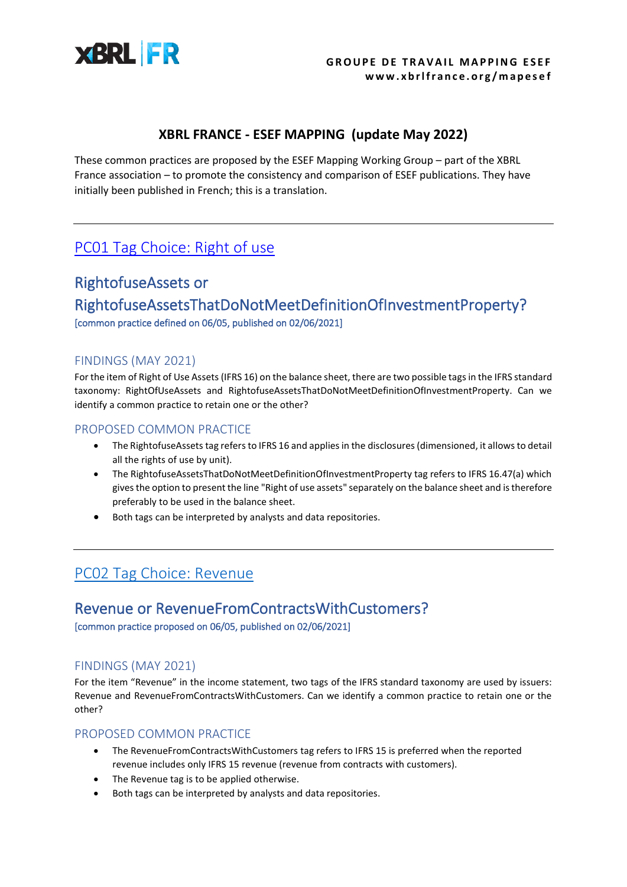

### **XBRL FRANCE - ESEF MAPPING (update May 2022)**

These common practices are proposed by the ESEF Mapping Working Group – part of the XBRL France association – to promote the consistency and comparison of ESEF publications. They have initially been published in French; this is a translation.

### PC01 [Tag Choice: Right](https://www.xbrlfrance.org/wp-content/uploads/2021/06/PC01-XBRLFranceMapping-Rightofuse.pdf) of use

## RightofuseAssets or RightofuseAssetsThatDoNotMeetDefinitionOfInvestmentProperty? [common practice defined on 06/05, published on 02/06/2021]

#### FINDINGS (MAY 2021)

For the item of Right of Use Assets (IFRS 16) on the balance sheet, there are two possible tags in the IFRS standard taxonomy: RightOfUseAssets and RightofuseAssetsThatDoNotMeetDefinitionOfInvestmentProperty. Can we identify a common practice to retain one or the other?

#### PROPOSED COMMON PRACTICE

- The RightofuseAssets tag refers to IFRS 16 and applies in the disclosures (dimensioned, it allows to detail all the rights of use by unit).
- The RightofuseAssetsThatDoNotMeetDefinitionOfInvestmentProperty tag refers to IFRS 16.47(a) which gives the option to present the line "Right of use assets" separately on the balance sheet and is therefore preferably to be used in the balance sheet.
- Both tags can be interpreted by analysts and data repositories.

### [PC02 Tag Choice: Revenue](https://www.xbrlfrance.org/wp-content/uploads/2022/01/PC02-XBRLFranceMapping-Revenue.pdf)

# Revenue or RevenueFromContractsWithCustomers?

[common practice proposed on 06/05, published on 02/06/2021]

### FINDINGS (MAY 2021)

For the item "Revenue" in the income statement, two tags of the IFRS standard taxonomy are used by issuers: Revenue and RevenueFromContractsWithCustomers. Can we identify a common practice to retain one or the other?

- The RevenueFromContractsWithCustomers tag refers to IFRS 15 is preferred when the reported revenue includes only IFRS 15 revenue (revenue from contracts with customers).
- The Revenue tag is to be applied otherwise.
- Both tags can be interpreted by analysts and data repositories.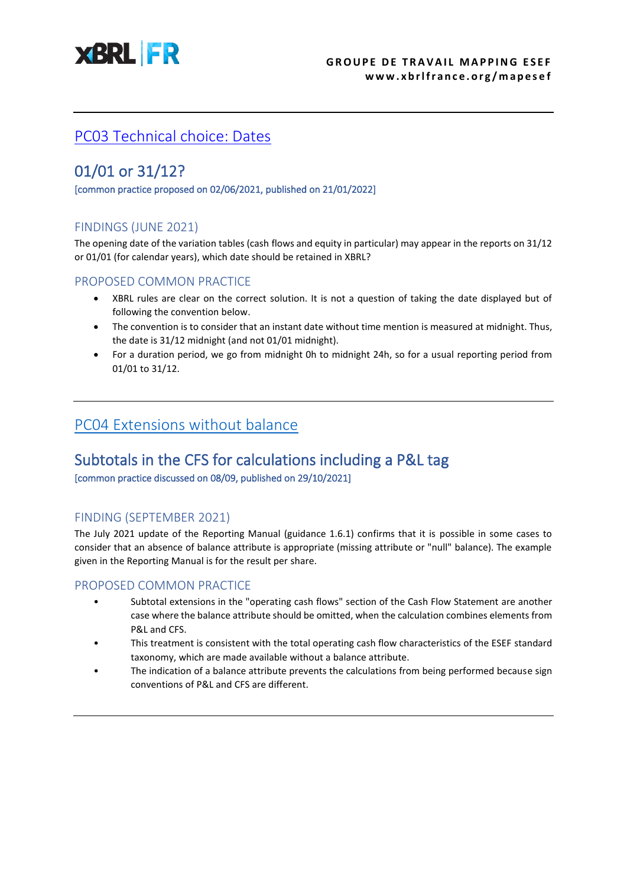

## [PC03 Technical choice: Dates](https://www.xbrlfrance.org/wp-content/uploads/2022/01/PC03-XBRLFranceMapping-Dates.pdf)

## 01/01 or 31/12?

[common practice proposed on 02/06/2021, published on 21/01/2022]

### FINDINGS (JUNE 2021)

The opening date of the variation tables (cash flows and equity in particular) may appear in the reports on 31/12 or 01/01 (for calendar years), which date should be retained in XBRL?

#### PROPOSED COMMON PRACTICE

- XBRL rules are clear on the correct solution. It is not a question of taking the date displayed but of following the convention below.
- The convention is to consider that an instant date without time mention is measured at midnight. Thus, the date is 31/12 midnight (and not 01/01 midnight).
- For a duration period, we go from midnight 0h to midnight 24h, so for a usual reporting period from 01/01 to 31/12.

### [PC04 Extensions without balance](https://www.xbrlfrance.org/wp-content/uploads/2021/11/PC04-XBRLFranceMapping-Extensions-sans-balance.pdf)

### Subtotals in the CFS for calculations including a P&L tag [common practice discussed on 08/09, published on 29/10/2021]

### FINDING (SEPTEMBER 2021)

The July 2021 update of the Reporting Manual (guidance 1.6.1) confirms that it is possible in some cases to consider that an absence of balance attribute is appropriate (missing attribute or "null" balance). The example given in the Reporting Manual is for the result per share.

- Subtotal extensions in the "operating cash flows" section of the Cash Flow Statement are another case where the balance attribute should be omitted, when the calculation combines elements from P&L and CFS.
- This treatment is consistent with the total operating cash flow characteristics of the ESEF standard taxonomy, which are made available without a balance attribute.
- The indication of a balance attribute prevents the calculations from being performed because sign conventions of P&L and CFS are different.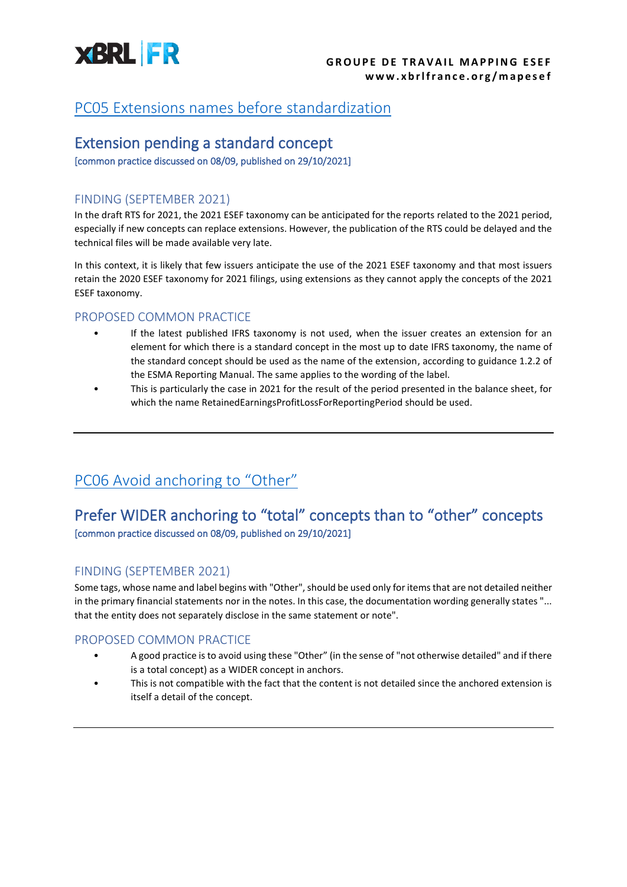

### [PC05 Extensions names before standardization](https://www.xbrlfrance.org/wp-content/uploads/2021/11/PC05-XBRLFranceMapping-Nom-des-extensions-avant-standardisation.pdf)

### Extension pending a standard concept

[common practice discussed on 08/09, published on 29/10/2021]

#### FINDING (SEPTEMBER 2021)

In the draft RTS for 2021, the 2021 ESEF taxonomy can be anticipated for the reports related to the 2021 period, especially if new concepts can replace extensions. However, the publication of the RTS could be delayed and the technical files will be made available very late.

In this context, it is likely that few issuers anticipate the use of the 2021 ESEF taxonomy and that most issuers retain the 2020 ESEF taxonomy for 2021 filings, using extensions as they cannot apply the concepts of the 2021 ESEF taxonomy.

#### PROPOSED COMMON PRACTICE

- If the latest published IFRS taxonomy is not used, when the issuer creates an extension for an element for which there is a standard concept in the most up to date IFRS taxonomy, the name of the standard concept should be used as the name of the extension, according to guidance 1.2.2 of the ESMA Reporting Manual. The same applies to the wording of the label.
- This is particularly the case in 2021 for the result of the period presented in the balance sheet, for which the name RetainedEarningsProfitLossForReportingPeriod should be used.

## [PC06 Avoid anchoring](https://www.xbrlfrance.org/wp-content/uploads/2021/10/PC06-XBRLFranceMapping-Ancrage-Other-a-eviter.pdf) to "Other"

### Prefer WIDER anchoring to "total" concepts than to "other" concepts [common practice discussed on 08/09, published on 29/10/2021]

### FINDING (SEPTEMBER 2021)

Some tags, whose name and label begins with "Other", should be used only for items that are not detailed neither in the primary financial statements nor in the notes. In this case, the documentation wording generally states "... that the entity does not separately disclose in the same statement or note".

- A good practice is to avoid using these "Other" (in the sense of "not otherwise detailed" and if there is a total concept) as a WIDER concept in anchors.
- This is not compatible with the fact that the content is not detailed since the anchored extension is itself a detail of the concept.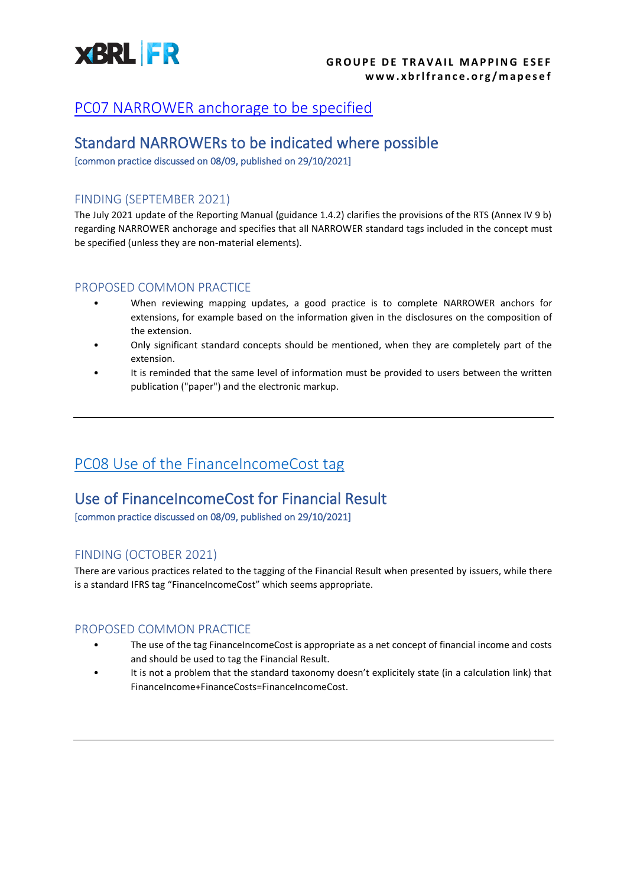

### [PC07 NARROWER anchorage to be specified](https://www.xbrlfrance.org/wp-content/uploads/2021/10/PC07-XBRLFranceMapping-Ancrage-Narrowers.pdf)

### Standard NARROWERs to be indicated where possible

[common practice discussed on 08/09, published on 29/10/2021]

#### FINDING (SEPTEMBER 2021)

The July 2021 update of the Reporting Manual (guidance 1.4.2) clarifies the provisions of the RTS (Annex IV 9 b) regarding NARROWER anchorage and specifies that all NARROWER standard tags included in the concept must be specified (unless they are non-material elements).

#### PROPOSED COMMON PRACTICE

- When reviewing mapping updates, a good practice is to complete NARROWER anchors for extensions, for example based on the information given in the disclosures on the composition of the extension.
- Only significant standard concepts should be mentioned, when they are completely part of the extension.
- It is reminded that the same level of information must be provided to users between the written publication ("paper") and the electronic markup.

### [PC08 Use of the FinanceIncomeCost tag](https://www.xbrlfrance.org/wp-content/uploads/2022/01/PC08-XBRLFranceMapping-Resultat-financier.pdf)

## Use of FinanceIncomeCost for Financial Result

[common practice discussed on 08/09, published on 29/10/2021]

### FINDING (OCTOBER 2021)

There are various practices related to the tagging of the Financial Result when presented by issuers, while there is a standard IFRS tag "FinanceIncomeCost" which seems appropriate.

- The use of the tag FinanceIncomeCost is appropriate as a net concept of financial income and costs and should be used to tag the Financial Result.
- It is not a problem that the standard taxonomy doesn't explicitely state (in a calculation link) that FinanceIncome+FinanceCosts=FinanceIncomeCost.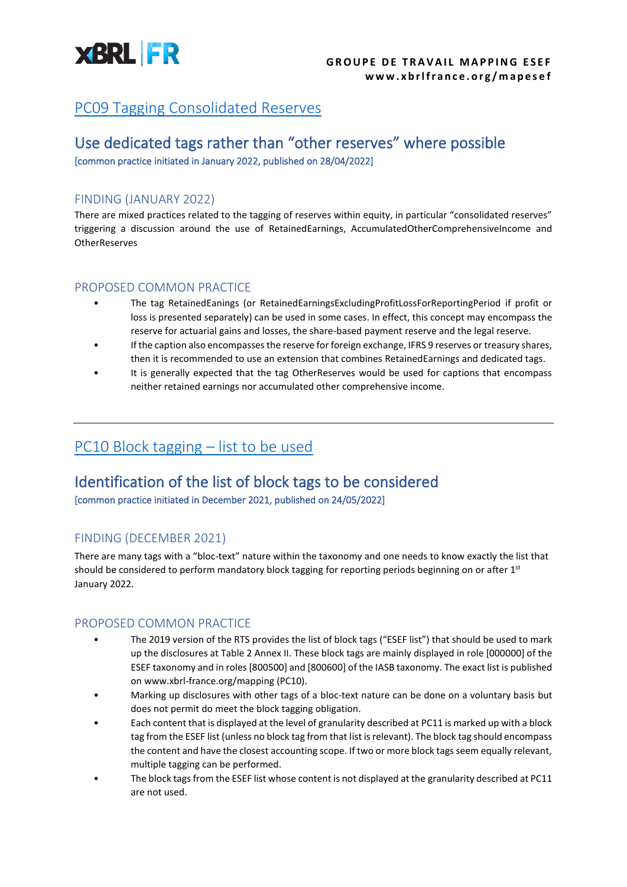

## [PC09 Tagging Consolidated Reserves](https://www.xbrlfrance.org/wp-content/uploads/2022/05/PC09-XBRLFranceMapping-Reserves-Consolidees.pdf)

### Use dedicated tags rather than "other reserves" where possible [common practice initiated in January 2022, published on 28/04/2022]

## FINDING (JANUARY 2022)

There are mixed practices related to the tagging of reserves within equity, in particular "consolidated reserves" triggering a discussion around the use of RetainedEarnings, AccumulatedOtherComprehensiveIncome and **OtherReserves** 

#### PROPOSED COMMON PRACTICE

- The tag RetainedEanings (or RetainedEarningsExcludingProfitLossForReportingPeriod if profit or loss is presented separately) can be used in some cases. In effect, this concept may encompass the reserve for actuarial gains and losses, the share-based payment reserve and the legal reserve.
- If the caption also encompasses the reserve for foreign exchange, IFRS 9 reserves or treasury shares, then it is recommended to use an extension that combines RetainedEarnings and dedicated tags.
- It is generally expected that the tag OtherReserves would be used for captions that encompass neither retained earnings nor accumulated other comprehensive income.

### [PC10 Block tagging](https://www.xbrlfrance.org/wp-content/uploads/2022/05/PC10-XBRLFranceMapping-macrobalisage-liste-des-balises.pdf) – list to be used

### Identification of the list of block tags to be considered

[common practice initiated in December 2021, published on 24/05/2022]

### FINDING (DECEMBER 2021)

There are many tags with a "bloc-text" nature within the taxonomy and one needs to know exactly the list that should be considered to perform mandatory block tagging for reporting periods beginning on or after 1st January 2022.

- The 2019 version of the RTS provides the list of block tags ("ESEF list") that should be used to mark up the disclosures at Table 2 Annex II. These block tags are mainly displayed in role [000000] of the ESEF taxonomy and in roles [800500] and [800600] of the IASB taxonomy. The exact list is published on www.xbrl-france.org/mapping (PC10).
- Marking up disclosures with other tags of a bloc-text nature can be done on a voluntary basis but does not permit do meet the block tagging obligation.
- Each content that is displayed at the level of granularity described at PC11 is marked up with a block tag from the ESEF list (unless no block tag from that list is relevant). The block tag should encompass the content and have the closest accounting scope. If two or more block tags seem equally relevant, multiple tagging can be performed.
- The block tags from the ESEF list whose content is not displayed at the granularity described at PC11 are not used.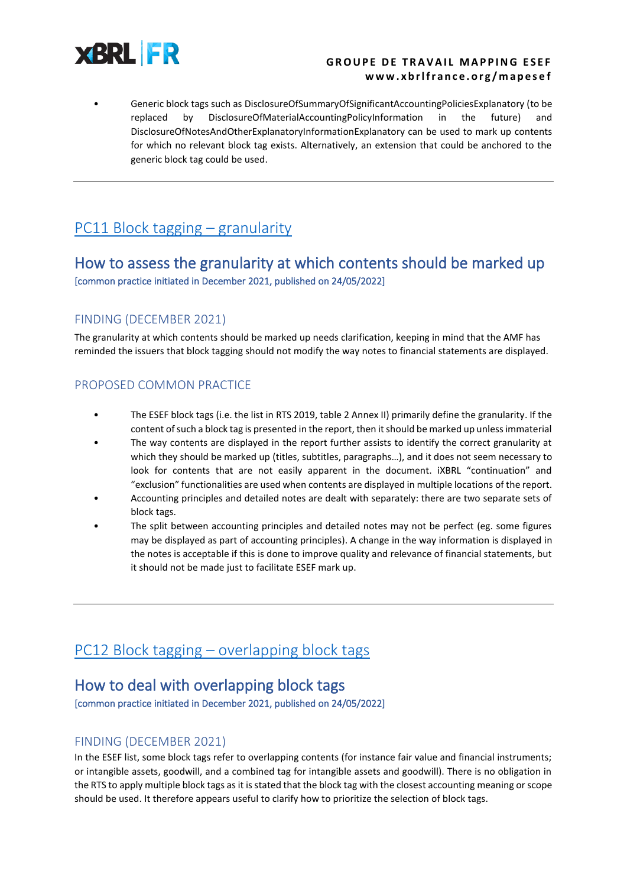

#### **GROUPE DE TRAVAIL MAPPING ESEF w w w . x b r l f r a n c e . o r g / m a p e s e f**

• Generic block tags such as DisclosureOfSummaryOfSignificantAccountingPoliciesExplanatory (to be replaced by DisclosureOfMaterialAccountingPolicyInformation in the future) DisclosureOfNotesAndOtherExplanatoryInformationExplanatory can be used to mark up contents for which no relevant block tag exists. Alternatively, an extension that could be anchored to the generic block tag could be used.

## PC11 [Block tagging](https://www.xbrlfrance.org/wp-content/uploads/2022/05/PC11-XBRLFranceMapping-macrobalisage-granularite-PROJET.pdf) – granularity

### How to assess the granularity at which contents should be marked up [common practice initiated in December 2021, published on 24/05/2022]

### FINDING (DECEMBER 2021)

The granularity at which contents should be marked up needs clarification, keeping in mind that the AMF has reminded the issuers that block tagging should not modify the way notes to financial statements are displayed.

#### PROPOSED COMMON PRACTICE

- The ESEF block tags (i.e. the list in RTS 2019, table 2 Annex II) primarily define the granularity. If the content of such a block tag is presented in the report, then it should be marked up unless immaterial
- The way contents are displayed in the report further assists to identify the correct granularity at which they should be marked up (titles, subtitles, paragraphs…), and it does not seem necessary to look for contents that are not easily apparent in the document. iXBRL "continuation" and "exclusion" functionalities are used when contents are displayed in multiple locations of the report.
- Accounting principles and detailed notes are dealt with separately: there are two separate sets of block tags.
- The split between accounting principles and detailed notes may not be perfect (eg. some figures may be displayed as part of accounting principles). A change in the way information is displayed in the notes is acceptable if this is done to improve quality and relevance of financial statements, but it should not be made just to facilitate ESEF mark up.

## PC12 Block tagging – [overlapping block tags](https://www.xbrlfrance.org/wp-content/uploads/2022/05/PC12-XBRLFrance-Mapping-macrobalisage-double.pdf)

### How to deal with overlapping block tags

[common practice initiated in December 2021, published on 24/05/2022]

### FINDING (DECEMBER 2021)

In the ESEF list, some block tags refer to overlapping contents (for instance fair value and financial instruments; or intangible assets, goodwill, and a combined tag for intangible assets and goodwill). There is no obligation in the RTS to apply multiple block tags as it is stated that the block tag with the closest accounting meaning or scope should be used. It therefore appears useful to clarify how to prioritize the selection of block tags.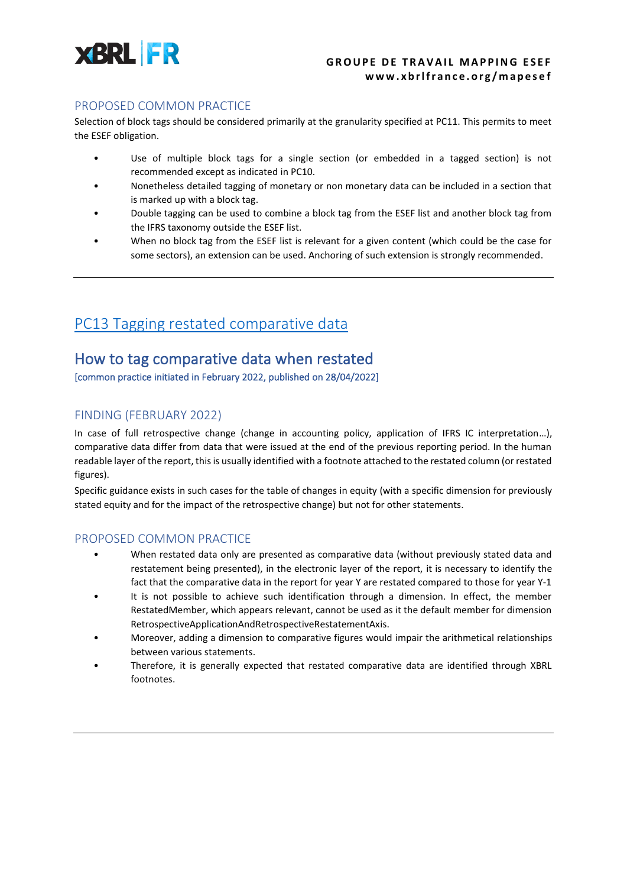

#### PROPOSED COMMON PRACTICE

Selection of block tags should be considered primarily at the granularity specified at PC11. This permits to meet the ESEF obligation.

- Use of multiple block tags for a single section (or embedded in a tagged section) is not recommended except as indicated in PC10.
- Nonetheless detailed tagging of monetary or non monetary data can be included in a section that is marked up with a block tag.
- Double tagging can be used to combine a block tag from the ESEF list and another block tag from the IFRS taxonomy outside the ESEF list.
- When no block tag from the ESEF list is relevant for a given content (which could be the case for some sectors), an extension can be used. Anchoring of such extension is strongly recommended.

### [PC13 Tagging restated comparative data](https://www.xbrlfrance.org/wp-content/uploads/2022/05/PC13-XBRLFranceMapping-donnees-comparatives-retraitees.pdf)

### How to tag comparative data when restated

[common practice initiated in February 2022, published on 28/04/2022]

### FINDING (FEBRUARY 2022)

In case of full retrospective change (change in accounting policy, application of IFRS IC interpretation...), comparative data differ from data that were issued at the end of the previous reporting period. In the human readable layer of the report, this is usually identified with a footnote attached to the restated column (or restated figures).

Specific guidance exists in such cases for the table of changes in equity (with a specific dimension for previously stated equity and for the impact of the retrospective change) but not for other statements.

- When restated data only are presented as comparative data (without previously stated data and restatement being presented), in the electronic layer of the report, it is necessary to identify the fact that the comparative data in the report for year Y are restated compared to those for year Y-1
- It is not possible to achieve such identification through a dimension. In effect, the member RestatedMember, which appears relevant, cannot be used as it the default member for dimension RetrospectiveApplicationAndRetrospectiveRestatementAxis.
- Moreover, adding a dimension to comparative figures would impair the arithmetical relationships between various statements.
- Therefore, it is generally expected that restated comparative data are identified through XBRL footnotes.